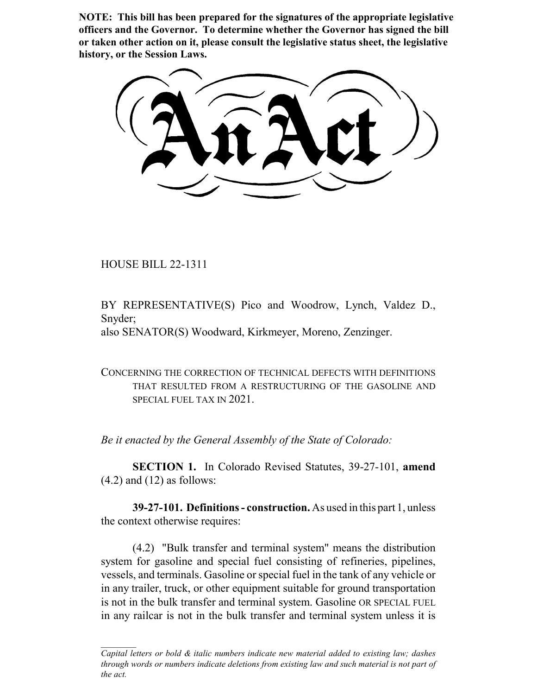**NOTE: This bill has been prepared for the signatures of the appropriate legislative officers and the Governor. To determine whether the Governor has signed the bill or taken other action on it, please consult the legislative status sheet, the legislative history, or the Session Laws.**

HOUSE BILL 22-1311

BY REPRESENTATIVE(S) Pico and Woodrow, Lynch, Valdez D., Snyder; also SENATOR(S) Woodward, Kirkmeyer, Moreno, Zenzinger.

CONCERNING THE CORRECTION OF TECHNICAL DEFECTS WITH DEFINITIONS THAT RESULTED FROM A RESTRUCTURING OF THE GASOLINE AND SPECIAL FUEL TAX IN 2021.

*Be it enacted by the General Assembly of the State of Colorado:*

**SECTION 1.** In Colorado Revised Statutes, 39-27-101, **amend**  $(4.2)$  and  $(12)$  as follows:

**39-27-101. Definitions - construction.** As used in this part 1, unless the context otherwise requires:

(4.2) "Bulk transfer and terminal system" means the distribution system for gasoline and special fuel consisting of refineries, pipelines, vessels, and terminals. Gasoline or special fuel in the tank of any vehicle or in any trailer, truck, or other equipment suitable for ground transportation is not in the bulk transfer and terminal system. Gasoline OR SPECIAL FUEL in any railcar is not in the bulk transfer and terminal system unless it is

*Capital letters or bold & italic numbers indicate new material added to existing law; dashes through words or numbers indicate deletions from existing law and such material is not part of the act.*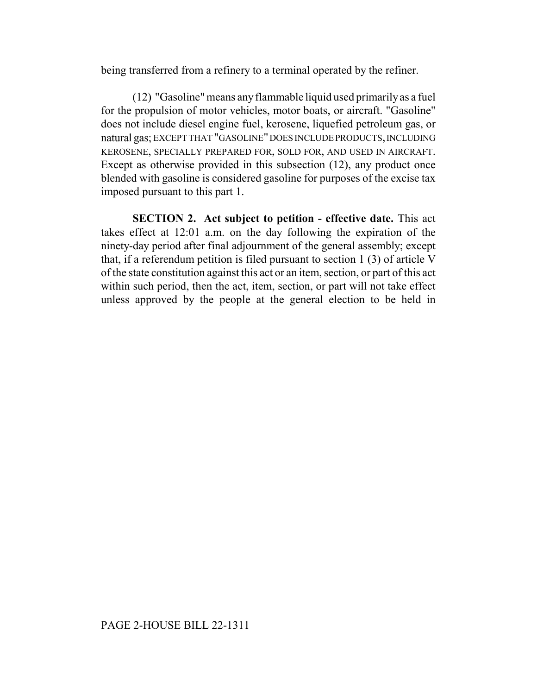being transferred from a refinery to a terminal operated by the refiner.

(12) "Gasoline" means any flammable liquid used primarily as a fuel for the propulsion of motor vehicles, motor boats, or aircraft. "Gasoline" does not include diesel engine fuel, kerosene, liquefied petroleum gas, or natural gas; EXCEPT THAT "GASOLINE" DOES INCLUDE PRODUCTS, INCLUDING KEROSENE, SPECIALLY PREPARED FOR, SOLD FOR, AND USED IN AIRCRAFT. Except as otherwise provided in this subsection (12), any product once blended with gasoline is considered gasoline for purposes of the excise tax imposed pursuant to this part 1.

**SECTION 2. Act subject to petition - effective date.** This act takes effect at 12:01 a.m. on the day following the expiration of the ninety-day period after final adjournment of the general assembly; except that, if a referendum petition is filed pursuant to section 1 (3) of article V of the state constitution against this act or an item, section, or part of this act within such period, then the act, item, section, or part will not take effect unless approved by the people at the general election to be held in